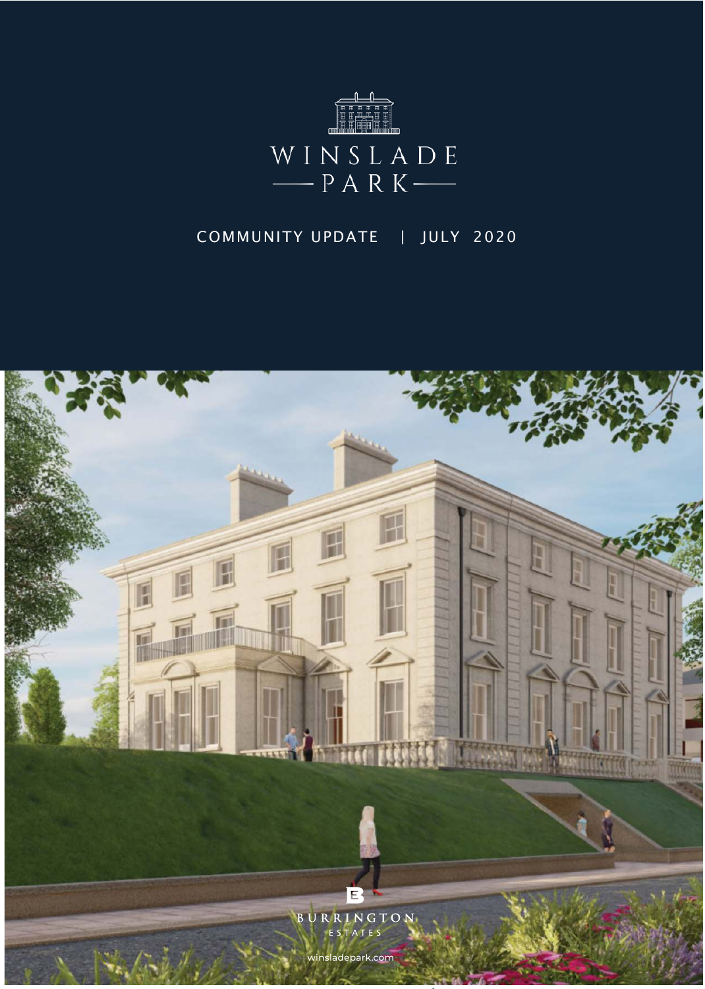

## COMMUNITY UPDATE | JULY 2020

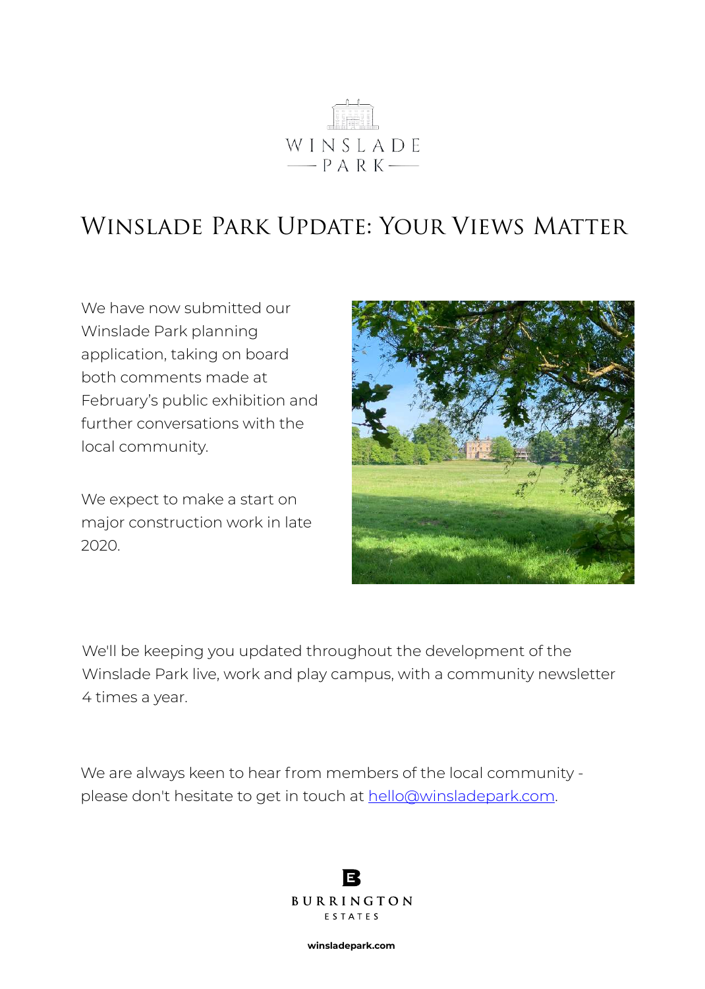

## Winslade Park Update: Your Views Matter

We have now submitted our Winslade Park planning application, taking on board both comments made at February's public exhibition and further conversations with the local community.

We expect to make a start on major construction work in late 2020.



We'll be keeping you updated throughout the development of the Winslade Park live, work and play campus, with a community newsletter 4 times a year.

We are always keen to hear from members of the local community please don't hesitate to get in touch at [hello@winsladepark.com.](mailto:hello@winsladepark.com)

> E BURRINGTON ESTATES

> > **winsladepark.com**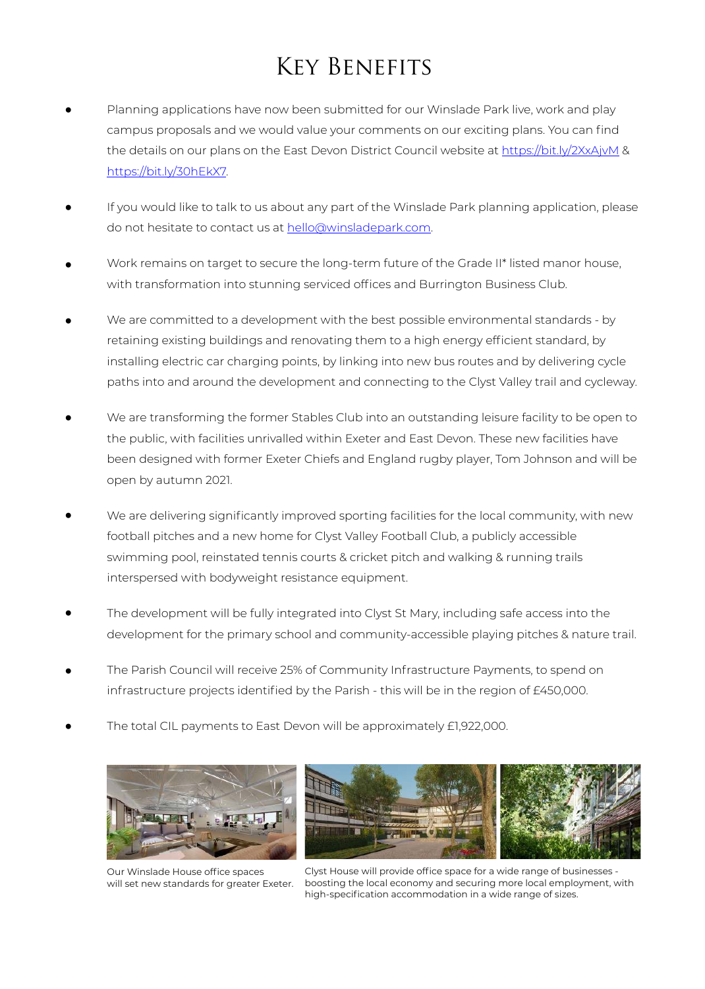## Key Benefits

- Planning applications have now been submitted for our Winslade Park live, work and play campus proposals and we would value your comments on our exciting plans. You can find the details on our plans on the East Devon District Council website at <https://bit.ly/2XxAjvM> & [https://bit.ly/30hEkX7.](https://bit.ly/30hEkX7)
- If you would like to talk to us about any part of the Winslade Park planning application, please do not hesitate to contact us at [hello@winsladepark.com.](mailto:hello@winsladepark.com)
- Work remains on target to secure the long-term future of the Grade II\* listed manor house, with transformation into stunning serviced offices and Burrington Business Club.
- We are committed to a development with the best possible environmental standards by retaining existing buildings and renovating them to a high energy efficient standard, by installing electric car charging points, by linking into new bus routes and by delivering cycle paths into and around the development and connecting to the Clyst Valley trail and cycleway. •
- We are transforming the former Stables Club into an outstanding leisure facility to be open to the public, with facilities unrivalled within Exeter and East Devon. These new facilities have been designed with former Exeter Chiefs and England rugby player, Tom Johnson and will be open by autumn 2021. •
- We are delivering significantly improved sporting facilities for the local community, with new football pitches and a new home for Clyst Valley Football Club, a publicly accessible swimming pool, reinstated tennis courts & cricket pitch and walking & running trails interspersed with bodyweight resistance equipment. •
- The development will be fully integrated into Clyst St Mary, including safe access into the development for the primary school and community-accessible playing pitches & nature trail. •
- The Parish Council will receive 25% of Community Infrastructure Payments, to spend on infrastructure projects identified by the Parish - this will be in the region of £450,000. •
- The total CIL payments to East Devon will be approximately £1,922,000. •



Our Winslade House office spaces will set new standards for greater Exeter.



Clyst House will provide office space for a wide range of businesses boosting the local economy and securing more local employment, with high-specification accommodation in a wide range of sizes.